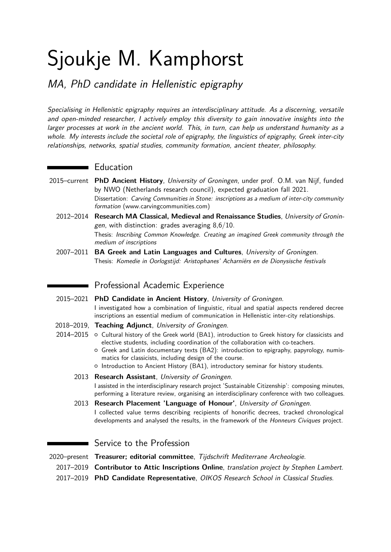# Sjoukje M. Kamphorst

MA, PhD candidate in Hellenistic epigraphy

Specialising in Hellenistic epigraphy requires an interdisciplinary attitude. As a discerning, versatile and open-minded researcher, I actively employ this diversity to gain innovative insights into the larger processes at work in the ancient world. This, in turn, can help us understand humanity as a whole. My interests include the societal role of epigraphy, the linguistics of epigraphy, Greek inter-city relationships, networks, spatial studies, community formation, ancient theater, philosophy.

# **Education**

- 2015–current **PhD Ancient History**, University of Groningen, under prof. O.M. van Nijf, funded by NWO (Netherlands research council), expected graduation fall 2021. Dissertation: Carving Communities in Stone: inscriptions as a medium of inter-city community formation [\(www.carvingcommunities.com\)](http://www.carvingcommunities.com)
	- 2012–2014 **Research MA Classical, Medieval and Renaissance Studies**, University of Groningen, with distinction: grades averaging 8,6/10. Thesis: Inscribing Common Knowledge. Creating an imagined Greek community through the medium of inscriptions
	- 2007–2011 **BA Greek and Latin Languages and Cultures**, University of Groningen. Thesis: Komedie in Oorlogstijd: Aristophanes' Acharniërs en de Dionysische festivals

# **Professional Academic Experience**

- 2015–2021 **PhD Candidate in Ancient History**, University of Groningen. I investigated how a combination of linguistic, ritual and spatial aspects rendered decree inscriptions an essential medium of communication in Hellenistic inter-city relationships.
- 2018–2019, **Teaching Adjunct**, University of Groningen.
- 2014–2015 o Cultural history of the Greek world (BA1), introduction to Greek history for classicists and elective students, including coordination of the collaboration with co-teachers.
	- { Greek and Latin documentary texts (BA2): introduction to epigraphy, papyrology, numismatics for classicists, including design of the course.
	- { Introduction to Ancient History (BA1), introductory seminar for history students.

## 2013 **Research Assistant**, University of Groningen. I assisted in the interdisciplinary research project 'Sustainable Citizenship': composing minutes, performing a literature review, organising an interdisciplinary conference with two colleagues.

2013 **Research Placement 'Language of Honour'**, University of Groningen. I collected value terms describing recipients of honorific decrees, tracked chronological developments and analysed the results, in the framework of the Honneurs Civiques project.

Service to the Profession

2020–present **Treasurer; editorial committee**, Tijdschrift Mediterrane Archeologie.

- 2017–2019 **Contributor to Attic Inscriptions Online**, translation project by Stephen Lambert.
- 2017–2019 **PhD Candidate Representative**, OIKOS Research School in Classical Studies.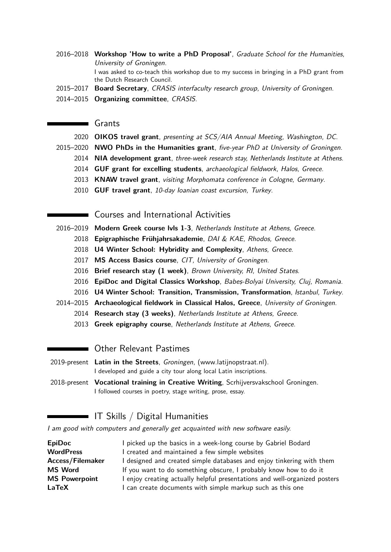- 2016–2018 **Workshop 'How to write a PhD Proposal'**, Graduate School for the Humanities, University of Groningen. I was asked to co-teach this workshop due to my success in bringing in a PhD grant from the Dutch Research Council.
- 2015–2017 **Board Secretary**, CRASIS interfaculty research group, University of Groningen.
- 2014–2015 **Organizing committee**, CRASIS.

#### Grants

- 2020 **OIKOS travel grant**, presenting at SCS/AIA Annual Meeting, Washington, DC.
- 2015–2020 **NWO PhDs in the Humanities grant**, five-year PhD at University of Groningen.
	- 2014 **NIA development grant**, three-week research stay, Netherlands Institute at Athens.
	- 2014 **GUF grant for excelling students**, archaeological fieldwork, Halos, Greece.
	- 2013 **KNAW travel grant**, visiting Morphomata conference in Cologne, Germany.
	- 2010 **GUF travel grant**, 10-day Ioanian coast excursion, Turkey.

## Courses and International Activities

- 2016–2019 **Modern Greek course lvls 1-3**, Netherlands Institute at Athens, Greece.
	- 2018 **Epigraphische Frühjahrsakademie**, DAI & KAE, Rhodos, Greece.
	- 2018 **U4 Winter School: Hybridity and Complexity**, Athens, Greece.
	- 2017 **MS Access Basics course**, CIT, University of Groningen.
	- 2016 **Brief research stay (1 week)**, Brown University, RI, United States.
	- 2016 **EpiDoc and Digital Classics Workshop**, Babes-Bolyai University, Cluj, Romania.
	- 2016 **U4 Winter School: Transition, Transmission, Transformation**, Istanbul, Turkey.
- 2014–2015 **Archaeological fieldwork in Classical Halos, Greece**, University of Groningen.
	- 2014 **Research stay (3 weeks)**, Netherlands Institute at Athens, Greece.
	- 2013 **Greek epigraphy course**, Netherlands Institute at Athens, Greece.

## **Ther Relevant Pastimes**

- 2019-present **Latin in the Streets**, Groningen, [\(www.latijnopstraat.nl\).](http://www.latijnopstraat.nl) I developed and guide a city tour along local Latin inscriptions.
- 2018-present **Vocational training in Creative Writing**, Scrhijversvakschool Groningen. I followed courses in poetry, stage writing, prose, essay.

## IT Skills / Digital Humanities

I am good with computers and generally get acquainted with new software easily.

| I picked up the basics in a week-long course by Gabriel Bodard             |
|----------------------------------------------------------------------------|
| I created and maintained a few simple websites                             |
| I designed and created simple databases and enjoy tinkering with them      |
| If you want to do something obscure, I probably know how to do it          |
| I enjoy creating actually helpful presentations and well-organized posters |
| I can create documents with simple markup such as this one                 |
|                                                                            |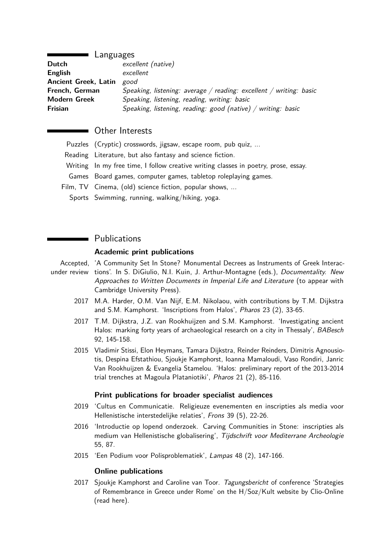#### Languages

| Dutch                       | excellent (native)                                                 |
|-----------------------------|--------------------------------------------------------------------|
| <b>English</b>              | excellent                                                          |
| <b>Ancient Greek, Latin</b> | good                                                               |
| French, German              | Speaking, listening: average / reading: excellent / writing: basic |
| <b>Modern Greek</b>         | Speaking, listening, reading, writing: basic                       |
| Frisian                     | Speaking, listening, reading: $good$ (native) / writing: basic     |

## Other Interests

| Puzzles (Cryptic) crosswords, jigsaw, escape room, pub quiz,                        |
|-------------------------------------------------------------------------------------|
| Reading Literature, but also fantasy and science fiction.                           |
| Writing In my free time, I follow creative writing classes in poetry, prose, essay. |
| Games Board games, computer games, tabletop roleplaying games.                      |
| Film, TV Cinema, (old) science fiction, popular shows,                              |
| Sports Swimming, running, walking/hiking, yoga.                                     |

## **Publications**

#### **Academic print publications**

Accepted, 'A Community Set In Stone? Monumental Decrees as Instruments of Greek Interacunder review tions'. In S. DiGiulio, N.I. Kuin, J. Arthur-Montagne (eds.), Documentality. New Approaches to Written Documents in Imperial Life and Literature (to appear with Cambridge University Press).

- 2017 M.A. Harder, O.M. Van Nijf, E.M. Nikolaou, with contributions by T.M. Dijkstra and S.M. Kamphorst. 'Inscriptions from Halos', Pharos 23 (2), 33-65.
- 2017 T.M. Dijkstra, J.Z. van Rookhuijzen and S.M. Kamphorst. 'Investigating ancient Halos: marking forty years of archaeological research on a city in Thessaly', BABesch 92, 145-158.
- 2015 Vladimir Stissi, Elon Heymans, Tamara Dijkstra, Reinder Reinders, Dimitris Agnousiotis, Despina Efstathiou, Sjoukje Kamphorst, Ioanna Mamaloudi, Vaso Rondiri, Janric Van Rookhuijzen & Evangelia Stamelou. 'Halos: preliminary report of the 2013-2014 trial trenches at Magoula Plataniotiki', Pharos 21 (2), 85-116.

#### **Print publications for broader specialist audiences**

- 2019 'Cultus en Communicatie. Religieuze evenementen en inscripties als media voor Hellenistische interstedelijke relaties', Frons 39 (5), 22-26.
- 2016 'Introductie op lopend onderzoek. Carving Communities in Stone: inscripties als medium van Hellenistische globalisering', Tijdschrift voor Mediterrane Archeologie 55, 87.
- 2015 'Een Podium voor Polisproblematiek', Lampas 48 (2), 147-166.

#### **Online publications**

2017 Sjoukje Kamphorst and Caroline van Toor. Tagungsbericht of conference 'Strategies of Remembrance in Greece under Rome' on the H/Soz/Kult website by Clio-Online [\(read here\)](http://www.hsozkult.de/conferencereport/id/tagungsberichte-6910?title=strategies-of-remembrance-in-greece-under-rome&recno=3&q=greece%20under%20rome&fq=&sort=newestPublished&total=16).